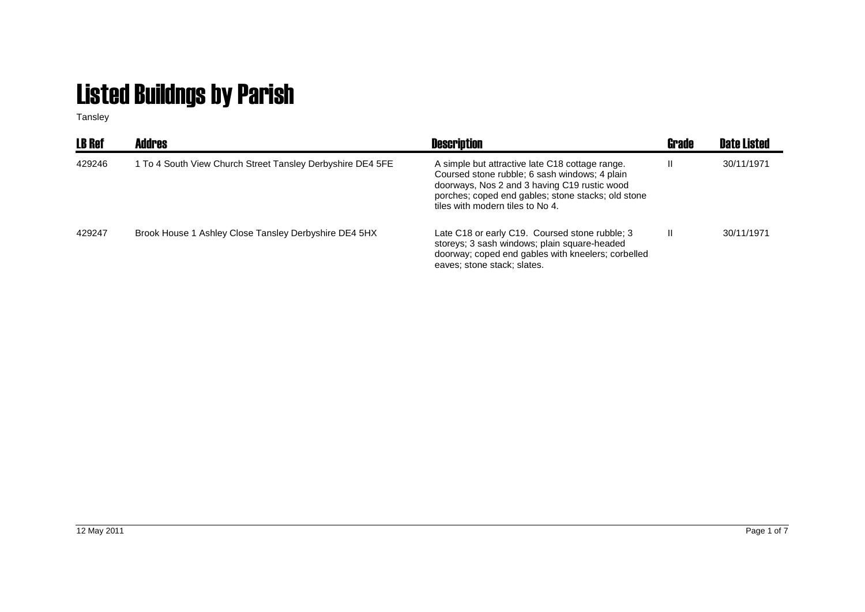## Listed Buildngs by Parish

Tansley

| <b>LB Ref</b> | <b>Addres</b>                                              | <b>Description</b>                                                                                                                                                                                                                         | <b>Grade</b> | <b>Date Listed</b> |
|---------------|------------------------------------------------------------|--------------------------------------------------------------------------------------------------------------------------------------------------------------------------------------------------------------------------------------------|--------------|--------------------|
| 429246        | 1 To 4 South View Church Street Tansley Derbyshire DE4 5FE | A simple but attractive late C18 cottage range.<br>Coursed stone rubble; 6 sash windows; 4 plain<br>doorways, Nos 2 and 3 having C19 rustic wood<br>porches; coped end gables; stone stacks; old stone<br>tiles with modern tiles to No 4. | Ш            | 30/11/1971         |
| 429247        | Brook House 1 Ashley Close Tansley Derbyshire DE4 5HX      | Late C18 or early C19. Coursed stone rubble; 3<br>storeys; 3 sash windows; plain square-headed<br>doorway; coped end gables with kneelers; corbelled<br>eaves; stone stack; slates.                                                        | Ш            | 30/11/1971         |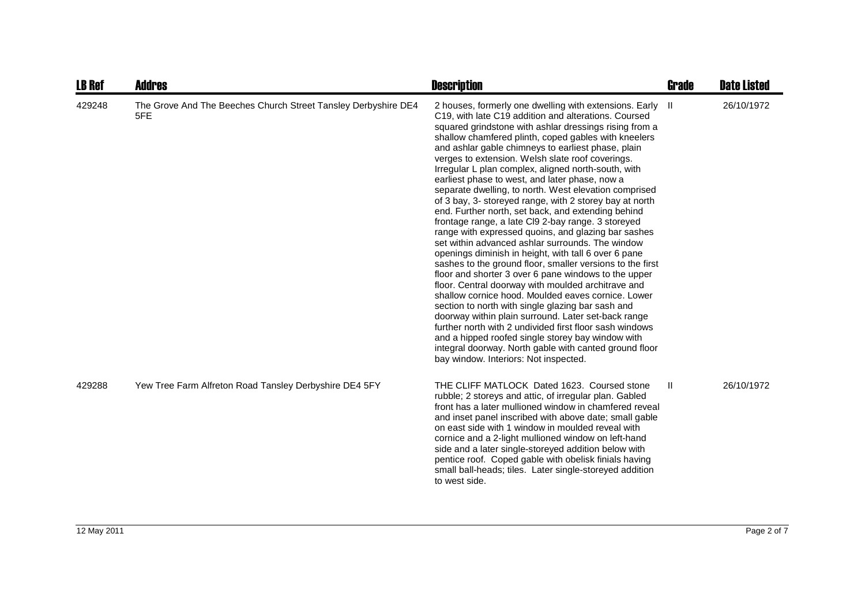| <b>LB Ref</b> | <b>Addres</b>                                                         | <b>Description</b>                                                                                                                                                                                                                                                                                                                                                                                                                                                                                                                                                                                                                                                                                                                                                                                                                                                                                                                                                                                                                                                                                                                                                                                                                                                                                                                                                                                                        | <b>Grade</b> | <b>Date Listed</b> |
|---------------|-----------------------------------------------------------------------|---------------------------------------------------------------------------------------------------------------------------------------------------------------------------------------------------------------------------------------------------------------------------------------------------------------------------------------------------------------------------------------------------------------------------------------------------------------------------------------------------------------------------------------------------------------------------------------------------------------------------------------------------------------------------------------------------------------------------------------------------------------------------------------------------------------------------------------------------------------------------------------------------------------------------------------------------------------------------------------------------------------------------------------------------------------------------------------------------------------------------------------------------------------------------------------------------------------------------------------------------------------------------------------------------------------------------------------------------------------------------------------------------------------------------|--------------|--------------------|
| 429248        | The Grove And The Beeches Church Street Tansley Derbyshire DE4<br>5FE | 2 houses, formerly one dwelling with extensions. Early II<br>C19, with late C19 addition and alterations. Coursed<br>squared grindstone with ashlar dressings rising from a<br>shallow chamfered plinth, coped gables with kneelers<br>and ashlar gable chimneys to earliest phase, plain<br>verges to extension. Welsh slate roof coverings.<br>Irregular L plan complex, aligned north-south, with<br>earliest phase to west, and later phase, now a<br>separate dwelling, to north. West elevation comprised<br>of 3 bay, 3- storeyed range, with 2 storey bay at north<br>end. Further north, set back, and extending behind<br>frontage range, a late Cl9 2-bay range. 3 storeyed<br>range with expressed quoins, and glazing bar sashes<br>set within advanced ashlar surrounds. The window<br>openings diminish in height, with tall 6 over 6 pane<br>sashes to the ground floor, smaller versions to the first<br>floor and shorter 3 over 6 pane windows to the upper<br>floor. Central doorway with moulded architrave and<br>shallow cornice hood. Moulded eaves cornice. Lower<br>section to north with single glazing bar sash and<br>doorway within plain surround. Later set-back range<br>further north with 2 undivided first floor sash windows<br>and a hipped roofed single storey bay window with<br>integral doorway. North gable with canted ground floor<br>bay window. Interiors: Not inspected. |              | 26/10/1972         |
| 429288        | Yew Tree Farm Alfreton Road Tansley Derbyshire DE4 5FY                | THE CLIFF MATLOCK Dated 1623. Coursed stone<br>rubble; 2 storeys and attic, of irregular plan. Gabled<br>front has a later mullioned window in chamfered reveal<br>and inset panel inscribed with above date; small gable<br>on east side with 1 window in moulded reveal with<br>cornice and a 2-light mullioned window on left-hand<br>side and a later single-storeyed addition below with<br>pentice roof. Coped gable with obelisk finials having<br>small ball-heads; tiles. Later single-storeyed addition<br>to west side.                                                                                                                                                                                                                                                                                                                                                                                                                                                                                                                                                                                                                                                                                                                                                                                                                                                                                        | $\mathbf{H}$ | 26/10/1972         |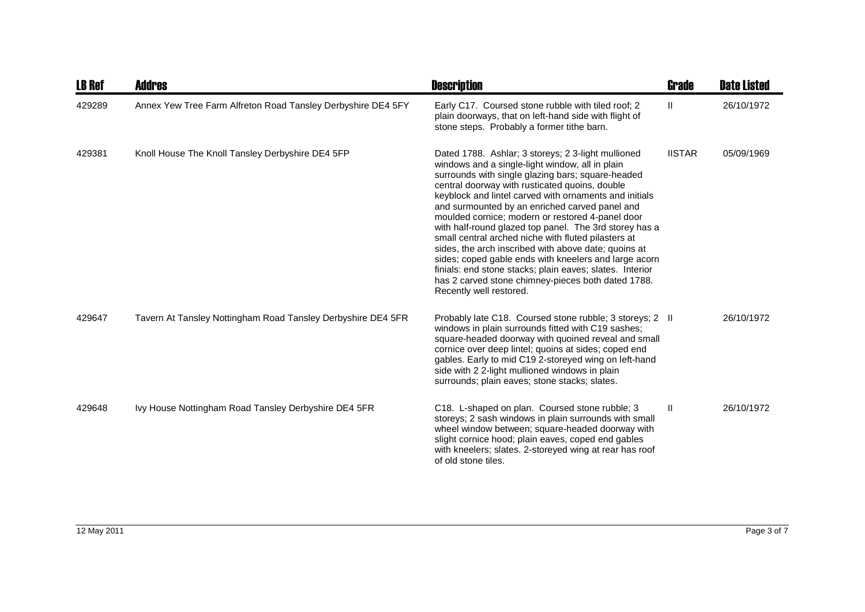| <b>LB Ref</b> | <b>Addres</b>                                                | <b>Description</b>                                                                                                                                                                                                                                                                                                                                                                                                                                                                                                                                                                                                                                                                                                                                          | <b>Grade</b>  | <b>Date Listed</b> |
|---------------|--------------------------------------------------------------|-------------------------------------------------------------------------------------------------------------------------------------------------------------------------------------------------------------------------------------------------------------------------------------------------------------------------------------------------------------------------------------------------------------------------------------------------------------------------------------------------------------------------------------------------------------------------------------------------------------------------------------------------------------------------------------------------------------------------------------------------------------|---------------|--------------------|
| 429289        | Annex Yew Tree Farm Alfreton Road Tansley Derbyshire DE4 5FY | Early C17. Coursed stone rubble with tiled roof; 2<br>plain doorways, that on left-hand side with flight of<br>stone steps. Probably a former tithe barn.                                                                                                                                                                                                                                                                                                                                                                                                                                                                                                                                                                                                   | Ш             | 26/10/1972         |
| 429381        | Knoll House The Knoll Tansley Derbyshire DE4 5FP             | Dated 1788. Ashlar; 3 storeys; 2 3-light mullioned<br>windows and a single-light window, all in plain<br>surrounds with single glazing bars; square-headed<br>central doorway with rusticated quoins, double<br>keyblock and lintel carved with ornaments and initials<br>and surmounted by an enriched carved panel and<br>moulded cornice; modern or restored 4-panel door<br>with half-round glazed top panel. The 3rd storey has a<br>small central arched niche with fluted pilasters at<br>sides, the arch inscribed with above date; quoins at<br>sides; coped gable ends with kneelers and large acorn<br>finials: end stone stacks; plain eaves; slates. Interior<br>has 2 carved stone chimney-pieces both dated 1788.<br>Recently well restored. | <b>IISTAR</b> | 05/09/1969         |
| 429647        | Tavern At Tansley Nottingham Road Tansley Derbyshire DE4 5FR | Probably late C18. Coursed stone rubble; 3 storeys; 2 II<br>windows in plain surrounds fitted with C19 sashes;<br>square-headed doorway with quoined reveal and small<br>cornice over deep lintel; quoins at sides; coped end<br>gables. Early to mid C19 2-storeyed wing on left-hand<br>side with 2 2-light mullioned windows in plain<br>surrounds; plain eaves; stone stacks; slates.                                                                                                                                                                                                                                                                                                                                                                   |               | 26/10/1972         |
| 429648        | Ivy House Nottingham Road Tansley Derbyshire DE4 5FR         | C18. L-shaped on plan. Coursed stone rubble; 3<br>storeys; 2 sash windows in plain surrounds with small<br>wheel window between; square-headed doorway with<br>slight cornice hood; plain eaves, coped end gables<br>with kneelers; slates. 2-storeyed wing at rear has roof<br>of old stone tiles.                                                                                                                                                                                                                                                                                                                                                                                                                                                         | Ш             | 26/10/1972         |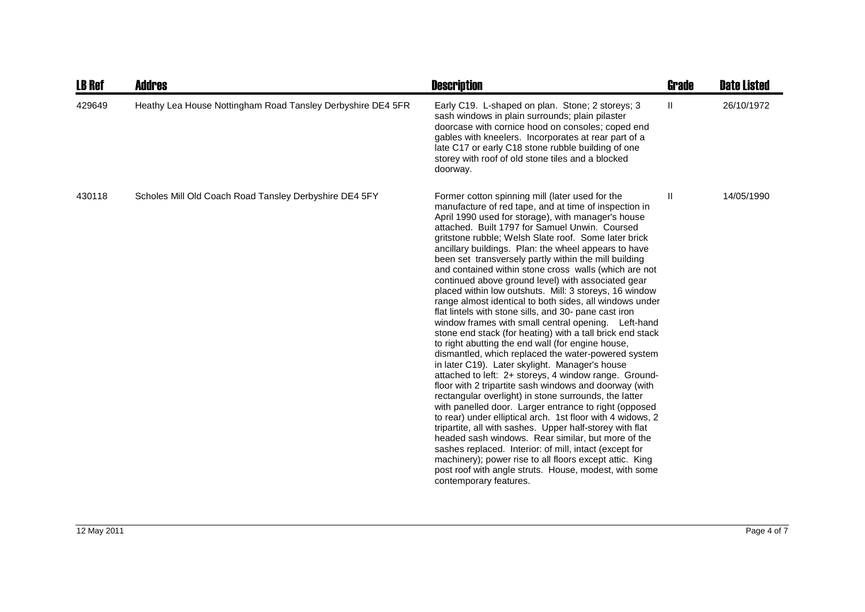| <b>LB Ref</b> | <b>Addres</b>                                               | <b>Description</b>                                                                                                                                                                                                                                                                                                                                                                                                                                                                                                                                                                                                                                                                                                                                                                                                                                                                                                                                                                                                                                                                                                                                                                                                                                                                                                                                                                                                                                                                                                                                                                                    | <b>Grade</b> | <b>Date Listed</b> |
|---------------|-------------------------------------------------------------|-------------------------------------------------------------------------------------------------------------------------------------------------------------------------------------------------------------------------------------------------------------------------------------------------------------------------------------------------------------------------------------------------------------------------------------------------------------------------------------------------------------------------------------------------------------------------------------------------------------------------------------------------------------------------------------------------------------------------------------------------------------------------------------------------------------------------------------------------------------------------------------------------------------------------------------------------------------------------------------------------------------------------------------------------------------------------------------------------------------------------------------------------------------------------------------------------------------------------------------------------------------------------------------------------------------------------------------------------------------------------------------------------------------------------------------------------------------------------------------------------------------------------------------------------------------------------------------------------------|--------------|--------------------|
| 429649        | Heathy Lea House Nottingham Road Tansley Derbyshire DE4 5FR | Early C19. L-shaped on plan. Stone; 2 storeys; 3<br>sash windows in plain surrounds; plain pilaster<br>doorcase with cornice hood on consoles; coped end<br>gables with kneelers. Incorporates at rear part of a<br>late C17 or early C18 stone rubble building of one<br>storey with roof of old stone tiles and a blocked<br>doorway.                                                                                                                                                                                                                                                                                                                                                                                                                                                                                                                                                                                                                                                                                                                                                                                                                                                                                                                                                                                                                                                                                                                                                                                                                                                               | Ш.           | 26/10/1972         |
| 430118        | Scholes Mill Old Coach Road Tansley Derbyshire DE4 5FY      | Former cotton spinning mill (later used for the<br>manufacture of red tape, and at time of inspection in<br>April 1990 used for storage), with manager's house<br>attached. Built 1797 for Samuel Unwin. Coursed<br>gritstone rubble; Welsh Slate roof. Some later brick<br>ancillary buildings. Plan: the wheel appears to have<br>been set transversely partly within the mill building<br>and contained within stone cross walls (which are not<br>continued above ground level) with associated gear<br>placed within low outshuts. Mill: 3 storeys, 16 window<br>range almost identical to both sides, all windows under<br>flat lintels with stone sills, and 30- pane cast iron<br>window frames with small central opening. Left-hand<br>stone end stack (for heating) with a tall brick end stack<br>to right abutting the end wall (for engine house,<br>dismantled, which replaced the water-powered system<br>in later C19). Later skylight. Manager's house<br>attached to left: 2+ storeys, 4 window range. Ground-<br>floor with 2 tripartite sash windows and doorway (with<br>rectangular overlight) in stone surrounds, the latter<br>with panelled door. Larger entrance to right (opposed<br>to rear) under elliptical arch. 1st floor with 4 widows, 2<br>tripartite, all with sashes. Upper half-storey with flat<br>headed sash windows. Rear similar, but more of the<br>sashes replaced. Interior: of mill, intact (except for<br>machinery); power rise to all floors except attic. King<br>post roof with angle struts. House, modest, with some<br>contemporary features. | $\mathbf{H}$ | 14/05/1990         |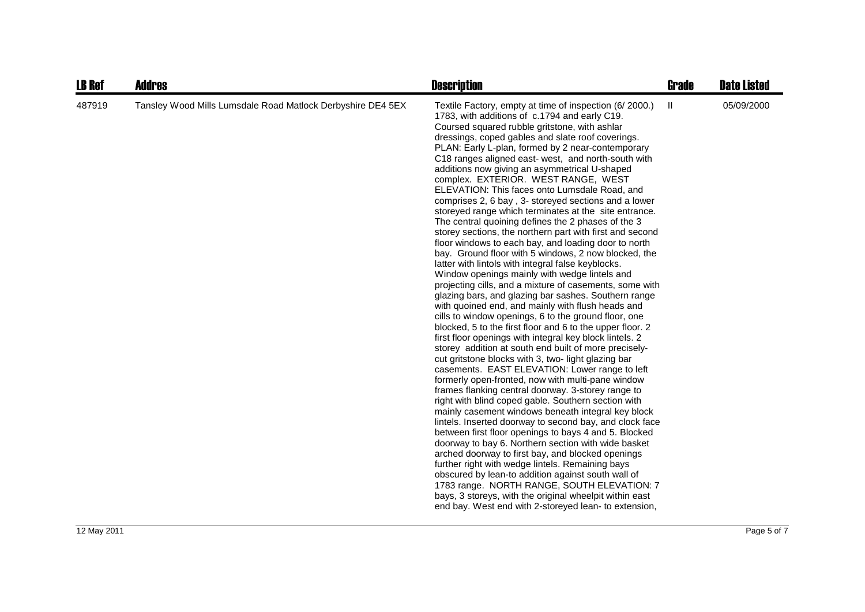| <b>LB Ref</b> | <b>Addres</b>                                               | <b>Description</b>                                                                                                                                                                                                                                                                                                                                                                                                                                                                                                                                                                                                                                                                                                                                                                                                                                                                                                                                                                                                                                                                                                                                                                                                                                                                                                                                                                                                                                                                                                                                                                                                                                                                                                                                                                                                                                                                                                                                                                                                                                                                                                                                                                          | Grade | <b>Date Listed</b> |
|---------------|-------------------------------------------------------------|---------------------------------------------------------------------------------------------------------------------------------------------------------------------------------------------------------------------------------------------------------------------------------------------------------------------------------------------------------------------------------------------------------------------------------------------------------------------------------------------------------------------------------------------------------------------------------------------------------------------------------------------------------------------------------------------------------------------------------------------------------------------------------------------------------------------------------------------------------------------------------------------------------------------------------------------------------------------------------------------------------------------------------------------------------------------------------------------------------------------------------------------------------------------------------------------------------------------------------------------------------------------------------------------------------------------------------------------------------------------------------------------------------------------------------------------------------------------------------------------------------------------------------------------------------------------------------------------------------------------------------------------------------------------------------------------------------------------------------------------------------------------------------------------------------------------------------------------------------------------------------------------------------------------------------------------------------------------------------------------------------------------------------------------------------------------------------------------------------------------------------------------------------------------------------------------|-------|--------------------|
| 487919        | Tansley Wood Mills Lumsdale Road Matlock Derbyshire DE4 5EX | Textile Factory, empty at time of inspection (6/2000.)<br>1783, with additions of c.1794 and early C19.<br>Coursed squared rubble gritstone, with ashlar<br>dressings, coped gables and slate roof coverings.<br>PLAN: Early L-plan, formed by 2 near-contemporary<br>C18 ranges aligned east- west, and north-south with<br>additions now giving an asymmetrical U-shaped<br>complex. EXTERIOR. WEST RANGE, WEST<br>ELEVATION: This faces onto Lumsdale Road, and<br>comprises 2, 6 bay, 3- storeyed sections and a lower<br>storeyed range which terminates at the site entrance.<br>The central quoining defines the 2 phases of the 3<br>storey sections, the northern part with first and second<br>floor windows to each bay, and loading door to north<br>bay. Ground floor with 5 windows, 2 now blocked, the<br>latter with lintols with integral false keyblocks.<br>Window openings mainly with wedge lintels and<br>projecting cills, and a mixture of casements, some with<br>glazing bars, and glazing bar sashes. Southern range<br>with quoined end, and mainly with flush heads and<br>cills to window openings, 6 to the ground floor, one<br>blocked, 5 to the first floor and 6 to the upper floor. 2<br>first floor openings with integral key block lintels. 2<br>storey addition at south end built of more precisely-<br>cut gritstone blocks with 3, two- light glazing bar<br>casements. EAST ELEVATION: Lower range to left<br>formerly open-fronted, now with multi-pane window<br>frames flanking central doorway. 3-storey range to<br>right with blind coped gable. Southern section with<br>mainly casement windows beneath integral key block<br>lintels. Inserted doorway to second bay, and clock face<br>between first floor openings to bays 4 and 5. Blocked<br>doorway to bay 6. Northern section with wide basket<br>arched doorway to first bay, and blocked openings<br>further right with wedge lintels. Remaining bays<br>obscured by lean-to addition against south wall of<br>1783 range. NORTH RANGE, SOUTH ELEVATION: 7<br>bays, 3 storeys, with the original wheelpit within east<br>end bay. West end with 2-storeyed lean- to extension, | Ш     | 05/09/2000         |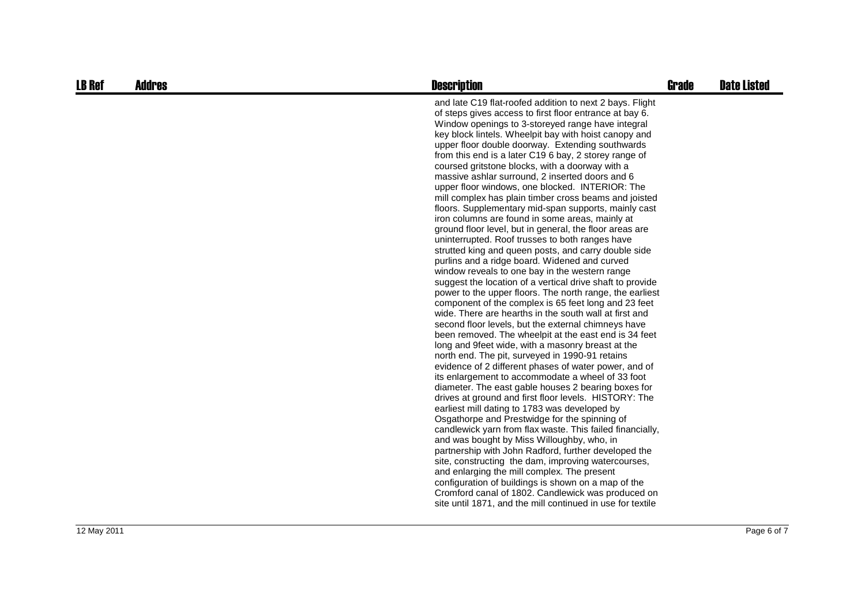| <b>LB Ref</b> | <b>Addres</b> | <b>Description</b>                                                                                                                                                                                                                                                                                                                                                                                                                                                                                                                                                                                                                                                                                                                                                                                                                                                                                                                                                                                                                                                                                                                                                                                                                                                                                                                                                                                                                                                                                                                                                                                                                                                                                                                                                                                                                                                                                                                                                                                                                                                                                                                                                                                           | <b>Grade</b> | <b>Date Listed</b> |
|---------------|---------------|--------------------------------------------------------------------------------------------------------------------------------------------------------------------------------------------------------------------------------------------------------------------------------------------------------------------------------------------------------------------------------------------------------------------------------------------------------------------------------------------------------------------------------------------------------------------------------------------------------------------------------------------------------------------------------------------------------------------------------------------------------------------------------------------------------------------------------------------------------------------------------------------------------------------------------------------------------------------------------------------------------------------------------------------------------------------------------------------------------------------------------------------------------------------------------------------------------------------------------------------------------------------------------------------------------------------------------------------------------------------------------------------------------------------------------------------------------------------------------------------------------------------------------------------------------------------------------------------------------------------------------------------------------------------------------------------------------------------------------------------------------------------------------------------------------------------------------------------------------------------------------------------------------------------------------------------------------------------------------------------------------------------------------------------------------------------------------------------------------------------------------------------------------------------------------------------------------------|--------------|--------------------|
|               |               | and late C19 flat-roofed addition to next 2 bays. Flight<br>of steps gives access to first floor entrance at bay 6.<br>Window openings to 3-storeyed range have integral<br>key block lintels. Wheelpit bay with hoist canopy and<br>upper floor double doorway. Extending southwards<br>from this end is a later C19 6 bay, 2 storey range of<br>coursed gritstone blocks, with a doorway with a<br>massive ashlar surround, 2 inserted doors and 6<br>upper floor windows, one blocked. INTERIOR: The<br>mill complex has plain timber cross beams and joisted<br>floors. Supplementary mid-span supports, mainly cast<br>iron columns are found in some areas, mainly at<br>ground floor level, but in general, the floor areas are<br>uninterrupted. Roof trusses to both ranges have<br>strutted king and queen posts, and carry double side<br>purlins and a ridge board. Widened and curved<br>window reveals to one bay in the western range<br>suggest the location of a vertical drive shaft to provide<br>power to the upper floors. The north range, the earliest<br>component of the complex is 65 feet long and 23 feet<br>wide. There are hearths in the south wall at first and<br>second floor levels, but the external chimneys have<br>been removed. The wheelpit at the east end is 34 feet<br>long and 9 feet wide, with a masonry breast at the<br>north end. The pit, surveyed in 1990-91 retains<br>evidence of 2 different phases of water power, and of<br>its enlargement to accommodate a wheel of 33 foot<br>diameter. The east gable houses 2 bearing boxes for<br>drives at ground and first floor levels. HISTORY: The<br>earliest mill dating to 1783 was developed by<br>Osgathorpe and Prestwidge for the spinning of<br>candlewick yarn from flax waste. This failed financially,<br>and was bought by Miss Willoughby, who, in<br>partnership with John Radford, further developed the<br>site, constructing the dam, improving watercourses,<br>and enlarging the mill complex. The present<br>configuration of buildings is shown on a map of the<br>Cromford canal of 1802. Candlewick was produced on<br>site until 1871, and the mill continued in use for textile |              |                    |